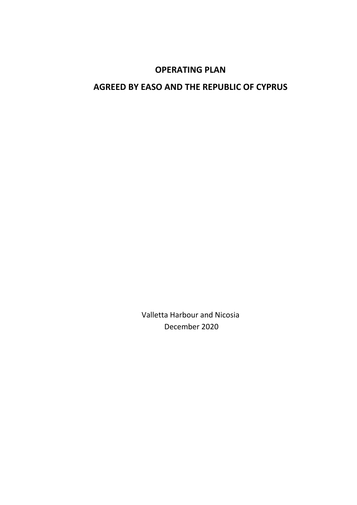# **OPERATING PLAN**

# **AGREED BY EASO AND THE REPUBLIC OF CYPRUS**

Valletta Harbour and Nicosia December 2020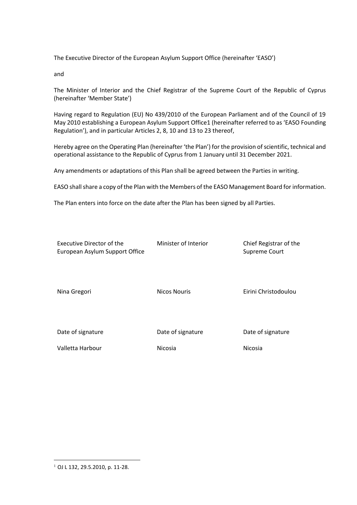The Executive Director of the European Asylum Support Office (hereinafter 'EASO')

and

The Minister of Interior and the Chief Registrar of the Supreme Court of the Republic of Cyprus (hereinafter 'Member State')

Having regard to Regulation (EU) No 439/2010 of the European Parliament and of the Council of 19 May 2010 establishing a European Asylum Support Office1 (hereinafter referred to as 'EASO Founding Regulation'), and in particular Articles 2, 8, 10 and 13 to 23 thereof,

Hereby agree on the Operating Plan (hereinafter 'the Plan') for the provision of scientific, technical and operational assistance to the Republic of Cyprus from 1 January until 31 December 2021.

Any amendments or adaptations of this Plan shall be agreed between the Parties in writing.

EASO shall share a copy of the Plan with the Members of the EASO Management Board for information.

The Plan enters into force on the date after the Plan has been signed by all Parties.

| <b>Executive Director of the</b><br>European Asylum Support Office | Minister of Interior | Chief Registrar of the<br>Supreme Court |
|--------------------------------------------------------------------|----------------------|-----------------------------------------|
| Nina Gregori                                                       | <b>Nicos Nouris</b>  | Eirini Christodoulou                    |
| Date of signature                                                  | Date of signature    | Date of signature                       |
| Valletta Harbour                                                   | Nicosia              | Nicosia                                 |

 $\overline{a}$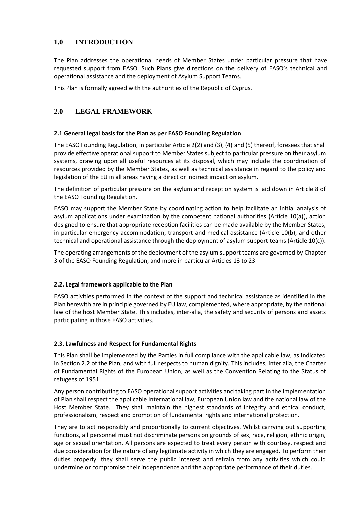# **1.0 INTRODUCTION**

The Plan addresses the operational needs of Member States under particular pressure that have requested support from EASO. Such Plans give directions on the delivery of EASO's technical and operational assistance and the deployment of Asylum Support Teams.

This Plan is formally agreed with the authorities of the Republic of Cyprus.

# **2.0 LEGAL FRAMEWORK**

## **2.1 General legal basis for the Plan as per EASO Founding Regulation**

The EASO Founding Regulation, in particular Article 2(2) and (3), (4) and (5) thereof, foresees that shall provide effective operational support to Member States subject to particular pressure on their asylum systems, drawing upon all useful resources at its disposal, which may include the coordination of resources provided by the Member States, as well as technical assistance in regard to the policy and legislation of the EU in all areas having a direct or indirect impact on asylum.

The definition of particular pressure on the asylum and reception system is laid down in Article 8 of the EASO Founding Regulation.

EASO may support the Member State by coordinating action to help facilitate an initial analysis of asylum applications under examination by the competent national authorities (Article 10(a)), action designed to ensure that appropriate reception facilities can be made available by the Member States, in particular emergency accommodation, transport and medical assistance (Article 10(b), and other technical and operational assistance through the deployment of asylum support teams (Article 10(c)).

The operating arrangements of the deployment of the asylum support teams are governed by Chapter 3 of the EASO Founding Regulation, and more in particular Articles 13 to 23.

# **2.2. Legal framework applicable to the Plan**

EASO activities performed in the context of the support and technical assistance as identified in the Plan herewith are in principle governed by EU law, complemented, where appropriate, by the national law of the host Member State. This includes, inter-alia, the safety and security of persons and assets participating in those EASO activities.

#### **2.3. Lawfulness and Respect for Fundamental Rights**

This Plan shall be implemented by the Parties in full compliance with the applicable law, as indicated in Section 2.2 of the Plan, and with full respects to human dignity. This includes, inter alia, the Charter of Fundamental Rights of the European Union, as well as the Convention Relating to the Status of refugees of 1951.

Any person contributing to EASO operational support activities and taking part in the implementation of Plan shall respect the applicable International law, European Union law and the national law of the Host Member State. They shall maintain the highest standards of integrity and ethical conduct, professionalism, respect and promotion of fundamental rights and international protection.

They are to act responsibly and proportionally to current objectives. Whilst carrying out supporting functions, all personnel must not discriminate persons on grounds of sex, race, religion, ethnic origin, age or sexual orientation. All persons are expected to treat every person with courtesy, respect and due consideration for the nature of any legitimate activity in which they are engaged. To perform their duties properly, they shall serve the public interest and refrain from any activities which could undermine or compromise their independence and the appropriate performance of their duties.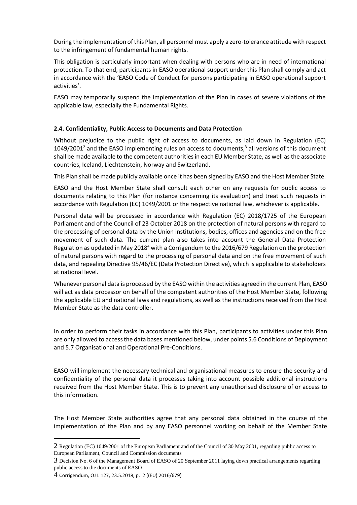During the implementation of this Plan, all personnel must apply a zero-tolerance attitude with respect to the infringement of fundamental human rights.

This obligation is particularly important when dealing with persons who are in need of international protection. To that end, participants in EASO operational support under this Plan shall comply and act in accordance with the 'EASO Code of Conduct for persons participating in EASO operational support activities'.

EASO may temporarily suspend the implementation of the Plan in cases of severe violations of the applicable law, especially the Fundamental Rights.

#### **2.4. Confidentiality, Public Access to Documents and Data Protection**

Without prejudice to the public right of access to documents, as laid down in Regulation (EC)  $1049/2001<sup>2</sup>$  and the EASO implementing rules on access to documents,<sup>3</sup> all versions of this document shall be made available to the competent authorities in each EU Member State, as well as the associate countries, Iceland, Liechtenstein, Norway and Switzerland.

This Plan shall be made publicly available once it has been signed by EASO and the Host Member State.

EASO and the Host Member State shall consult each other on any requests for public access to documents relating to this Plan (for instance concerning its evaluation) and treat such requests in accordance with Regulation (EC) 1049/2001 or the respective national law, whichever is applicable.

Personal data will be processed in accordance with Regulation (EC) 2018/1725 of the European Parliament and of the Council of 23 October 2018 on the protection of natural persons with regard to the processing of personal data by the Union institutions, bodies, offices and agencies and on the free movement of such data. The current plan also takes into account the General Data Protection Regulation as updated in May 2018<sup>4</sup> with a Corrigendum to the 2016/679 Regulation on the protection of natural persons with regard to the processing of personal data and on the free movement of such data, and repealing Directive 95/46/EC (Data Protection Directive), which is applicable to stakeholders at national level.

Whenever personal data is processed by the EASO within the activities agreed in the current Plan, EASO will act as data processor on behalf of the competent authorities of the Host Member State, following the applicable EU and national laws and regulations, as well as the instructions received from the Host Member State as the data controller.

In order to perform their tasks in accordance with this Plan, participants to activities under this Plan are only allowed to access the data bases mentioned below, under points 5.6 Conditions of Deployment and 5.7 Organisational and Operational Pre-Conditions.

EASO will implement the necessary technical and organisational measures to ensure the security and confidentiality of the personal data it processes taking into account possible additional instructions received from the Host Member State. This is to prevent any unauthorised disclosure of or access to this information.

The Host Member State authorities agree that any personal data obtained in the course of the implementation of the Plan and by any EASO personnel working on behalf of the Member State

 $\overline{a}$ 

<sup>2</sup> Regulation (EC) 1049/2001 of the European Parliament and of the Council of 30 May 2001, regarding public access to European Parliament, Council and Commission documents

<sup>3</sup> Decision No. 6 of the Management Board of EASO of 20 September 2011 laying down practical arrangements regarding public access to the documents of EASO

<sup>4</sup> Corrigendum, OJ L 127, 23.5.2018, p. 2 ((EU) 2016/679)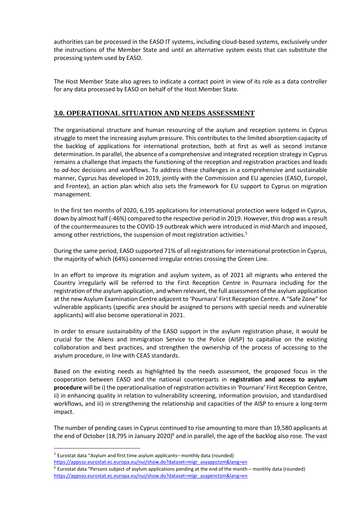authorities can be processed in the EASO IT systems, including cloud-based systems, exclusively under the instructions of the Member State and until an alternative system exists that can substitute the processing system used by EASO.

The Host Member State also agrees to indicate a contact point in view of its role as a data controller for any data processed by EASO on behalf of the Host Member State.

# **3.0. OPERATIONAL SITUATION AND NEEDS ASSESSMENT**

The organisational structure and human resourcing of the asylum and reception systems in Cyprus struggle to meet the increasing asylum pressure. This contributes to the limited absorption capacity of the backlog of applications for international protection, both at first as well as second instance determination. In parallel, the absence of a comprehensive and integrated reception strategy in Cyprus remains a challenge that impacts the functioning of the reception and registration practices and leads to *ad-hoc* decisions and workflows. To address these challenges in a comprehensive and sustainable manner, Cyprus has developed in 2019, jointly with the Commission and EU agencies (EASO, Europol, and Frontex), an action plan which also sets the framework for EU support to Cyprus on migration management.

In the first ten months of 2020, 6,195 applications for international protection were lodged in Cyprus, down by almost half (-46%) compared to the respective period in 2019. However, this drop was a result of the countermeasures to the COVID-19 outbreak which were introduced in mid-March and imposed, among other restrictions, the suspension of most registration activities.<sup>5</sup>

During the same period, EASO supported 71% of all registrations for international protection in Cyprus, the majority of which (64%) concerned irregular entries crossing the Green Line.

In an effort to improve its migration and asylum system, as of 2021 all migrants who entered the Country irregularly will be referred to the First Reception Centre in Pournara including for the registration of the asylum application, and when relevant, the full assessment of the asylum application at the new Asylum Examination Centre adjacent to 'Pournara' First Reception Centre. A "Safe Zone" for vulnerable applicants (specific area should be assigned to persons with special needs and vulnerable applicants) will also become operational in 2021.

In order to ensure sustainability of the EASO support in the asylum registration phase, it would be crucial for the Aliens and Immigration Service to the Police (AISP) to capitalise on the existing collaboration and best practices, and strengthen the ownership of the process of accessing to the asylum procedure, in line with CEAS standards.

Based on the existing needs as highlighted by the needs assessment, the proposed focus in the cooperation between EASO and the national counterparts in **registration and access to asylum procedure** will be i) the operationalisation of registration activities in 'Pournara' First Reception Centre, ii) in enhancing quality in relation to vulnerability screening, information provision, and standardised workflows, and iii) in strengthening the relationship and capacities of the AISP to ensure a long-term impact.

The number of pending cases in Cyprus continued to rise amounting to more than 19,580 applicants at the end of October (18,795 in January 2020)<sup>6</sup> and in parallel, the age of the backlog also rose. The vast

 $\overline{a}$ 

 $<sup>5</sup>$  Eurostat data "Asylum and first time asylum applicants-monthly data (rounded)</sup>

[https://appsso.eurostat.ec.europa.eu/nui/show.do?dataset=migr\\_asyappctzm&lang=en](https://appsso.eurostat.ec.europa.eu/nui/show.do?dataset=migr_asyappctzm&lang=en)

 $^6$  Eurostat data "Persons subject of asylum applications pending at the end of the month – monthly data (rounded) [https://appsso.eurostat.ec.europa.eu/nui/show.do?dataset=migr\\_asypenctzm&lang=en](https://appsso.eurostat.ec.europa.eu/nui/show.do?dataset=migr_asypenctzm&lang=en)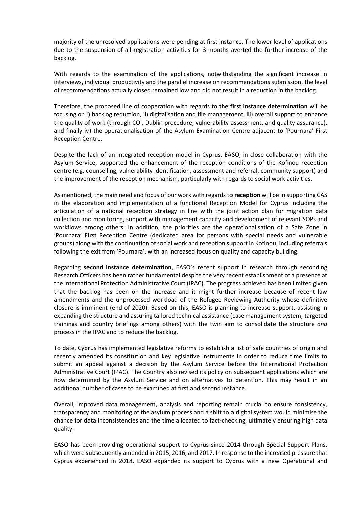majority of the unresolved applications were pending at first instance. The lower level of applications due to the suspension of all registration activities for 3 months averted the further increase of the backlog.

With regards to the examination of the applications, notwithstanding the significant increase in interviews, individual productivity and the parallel increase on recommendations submission, the level of recommendations actually closed remained low and did not result in a reduction in the backlog.

Therefore, the proposed line of cooperation with regards to **the first instance determination** will be focusing on i) backlog reduction, ii) digitalisation and file management, iii) overall support to enhance the quality of work (through COI, Dublin procedure, vulnerability assessment, and quality assurance), and finally iv) the operationalisation of the Asylum Examination Centre adjacent to 'Pournara' First Reception Centre.

Despite the lack of an integrated reception model in Cyprus, EASO, in close collaboration with the Asylum Service, supported the enhancement of the reception conditions of the Kofinou reception centre (e.g. counselling, vulnerability identification, assessment and referral, community support) and the improvement of the reception mechanism, particularly with regards to social work activities.

As mentioned, the main need and focus of our work with regards to **reception** will be in supporting CAS in the elaboration and implementation of a functional Reception Model for Cyprus including the articulation of a national reception strategy in line with the joint action plan for migration data collection and monitoring, support with management capacity and development of relevant SOPs and workflows among others. In addition, the priorities are the operationalisation of a Safe Zone in 'Pournara' First Reception Centre (dedicated area for persons with special needs and vulnerable groups) along with the continuation of social work and reception support in Kofinou, including referrals following the exit from 'Pournara', with an increased focus on quality and capacity building.

Regarding **second instance determination**, EASO's recent support in research through seconding Research Officers has been rather fundamental despite the very recent establishment of a presence at the International Protection Administrative Court (IPAC). The progress achieved has been limited given that the backlog has been on the increase and it might further increase because of recent law amendments and the unprocessed workload of the Refugee Reviewing Authority whose definitive closure is imminent (end of 2020). Based on this, EASO is planning to increase support, assisting in expanding the structure and assuring tailored technical assistance (case management system, targeted trainings and country briefings among others) with the twin aim to consolidate the structure *and*  process in the IPAC and to reduce the backlog.

To date, Cyprus has implemented legislative reforms to establish a list of safe countries of origin and recently amended its constitution and key legislative instruments in order to reduce time limits to submit an appeal against a decision by the Asylum Service before the International Protection Administrative Court (IPAC). The Country also revised its policy on subsequent applications which are now determined by the Asylum Service and on alternatives to detention. This may result in an additional number of cases to be examined at first and second instance.

Overall, improved data management, analysis and reporting remain crucial to ensure consistency, transparency and monitoring of the asylum process and a shift to a digital system would minimise the chance for data inconsistencies and the time allocated to fact-checking, ultimately ensuring high data quality.

EASO has been providing operational support to Cyprus since 2014 through Special Support Plans, which were subsequently amended in 2015, 2016, and 2017. In response to the increased pressure that Cyprus experienced in 2018, EASO expanded its support to Cyprus with a new Operational and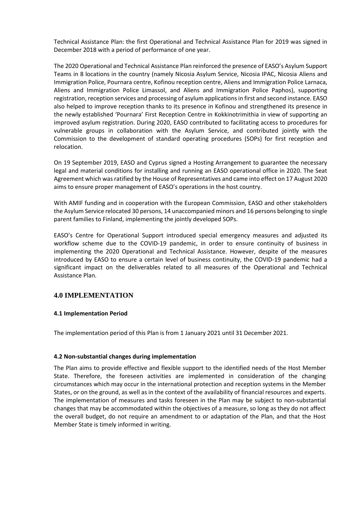Technical Assistance Plan: the first Operational and Technical Assistance Plan for 2019 was signed in December 2018 with a period of performance of one year.

The 2020 Operational and Technical Assistance Plan reinforced the presence of EASO's Asylum Support Teams in 8 locations in the country (namely Nicosia Asylum Service, Nicosia IPAC, Nicosia Aliens and Immigration Police, Pournara centre, Kofinou reception centre, Aliens and Immigration Police Larnaca, Aliens and Immigration Police Limassol, and Aliens and Immigration Police Paphos), supporting registration, reception services and processing of asylum applications in first and second instance. EASO also helped to improve reception thanks to its presence in Kofinou and strengthened its presence in the newly established 'Pournara' First Reception Centre in Kokkinotrimithia in view of supporting an improved asylum registration. During 2020, EASO contributed to facilitating access to procedures for vulnerable groups in collaboration with the Asylum Service, and contributed jointly with the Commission to the development of standard operating procedures (SOPs) for first reception and relocation.

On 19 September 2019, EASO and Cyprus signed a Hosting Arrangement to guarantee the necessary legal and material conditions for installing and running an EASO operational office in 2020. The Seat Agreement which was ratified by the House of Representatives and came into effect on 17 August 2020 aims to ensure proper management of EASO's operations in the host country.

With AMIF funding and in cooperation with the European Commission, EASO and other stakeholders the Asylum Service relocated 30 persons, 14 unaccompanied minors and 16 persons belonging to single parent families to Finland, implementing the jointly developed SOPs.

EASO's Centre for Operational Support introduced special emergency measures and adjusted its workflow scheme due to the COVID-19 pandemic, in order to ensure continuity of business in implementing the 2020 Operational and Technical Assistance. However, despite of the measures introduced by EASO to ensure a certain level of business continuity, the COVID-19 pandemic had a significant impact on the deliverables related to all measures of the Operational and Technical Assistance Plan.

# **4.0 IMPLEMENTATION**

#### **4.1 Implementation Period**

The implementation period of this Plan is from 1 January 2021 until 31 December 2021.

#### **4.2 Non-substantial changes during implementation**

The Plan aims to provide effective and flexible support to the identified needs of the Host Member State. Therefore, the foreseen activities are implemented in consideration of the changing circumstances which may occur in the international protection and reception systems in the Member States, or on the ground, as well as in the context of the availability of financial resources and experts. The implementation of measures and tasks foreseen in the Plan may be subject to non-substantial changes that may be accommodated within the objectives of a measure, so long as they do not affect the overall budget, do not require an amendment to or adaptation of the Plan, and that the Host Member State is timely informed in writing.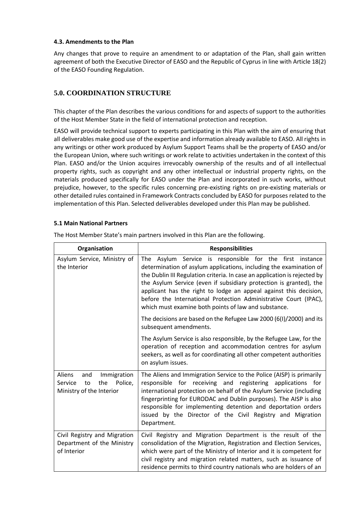#### **4.3. Amendments to the Plan**

Any changes that prove to require an amendment to or adaptation of the Plan, shall gain written agreement of both the Executive Director of EASO and the Republic of Cyprus in line with Article 18(2) of the EASO Founding Regulation.

# **5.0. COORDINATION STRUCTURE**

This chapter of the Plan describes the various conditions for and aspects of support to the authorities of the Host Member State in the field of international protection and reception.

EASO will provide technical support to experts participating in this Plan with the aim of ensuring that all deliverables make good use of the expertise and information already available to EASO. All rights in any writings or other work produced by Asylum Support Teams shall be the property of EASO and/or the European Union, where such writings or work relate to activities undertaken in the context of this Plan. EASO and/or the Union acquires irrevocably ownership of the results and of all intellectual property rights, such as copyright and any other intellectual or industrial property rights, on the materials produced specifically for EASO under the Plan and incorporated in such works, without prejudice, however, to the specific rules concerning pre-existing rights on pre-existing materials or other detailed rules contained in Framework Contracts concluded by EASO for purposes related to the implementation of this Plan. Selected deliverables developed under this Plan may be published.

# **5.1 Main National Partners**

 $\Gamma$ 

| Organisation                                                                                | <b>Responsibilities</b>                                                                                                                                                                                                                                                                                                                                                                                                                                                                  |  |
|---------------------------------------------------------------------------------------------|------------------------------------------------------------------------------------------------------------------------------------------------------------------------------------------------------------------------------------------------------------------------------------------------------------------------------------------------------------------------------------------------------------------------------------------------------------------------------------------|--|
| Asylum Service, Ministry of<br>the Interior                                                 | Asylum Service is responsible for the<br>first instance<br>The<br>determination of asylum applications, including the examination of<br>the Dublin III Regulation criteria. In case an application is rejected by<br>the Asylum Service (even if subsidiary protection is granted), the<br>applicant has the right to lodge an appeal against this decision,<br>before the International Protection Administrative Court (IPAC),<br>which must examine both points of law and substance. |  |
|                                                                                             | The decisions are based on the Refugee Law 2000 (6(I)/2000) and its<br>subsequent amendments.                                                                                                                                                                                                                                                                                                                                                                                            |  |
|                                                                                             | The Asylum Service is also responsible, by the Refugee Law, for the<br>operation of reception and accommodation centres for asylum<br>seekers, as well as for coordinating all other competent authorities<br>on asylum issues.                                                                                                                                                                                                                                                          |  |
| Aliens<br>Immigration<br>and<br>Police,<br>Service<br>the<br>to<br>Ministry of the Interior | The Aliens and Immigration Service to the Police (AISP) is primarily<br>responsible for receiving and registering applications for<br>international protection on behalf of the Asylum Service (including<br>fingerprinting for EURODAC and Dublin purposes). The AISP is also<br>responsible for implementing detention and deportation orders<br>issued by the Director of the Civil Registry and Migration<br>Department.                                                             |  |
| Civil Registry and Migration<br>Department of the Ministry<br>of Interior                   | Civil Registry and Migration Department is the result of the<br>consolidation of the Migration, Registration and Election Services,<br>which were part of the Ministry of Interior and it is competent for<br>civil registry and migration related matters, such as issuance of<br>residence permits to third country nationals who are holders of an                                                                                                                                    |  |

The Host Member State's main partners involved in this Plan are the following.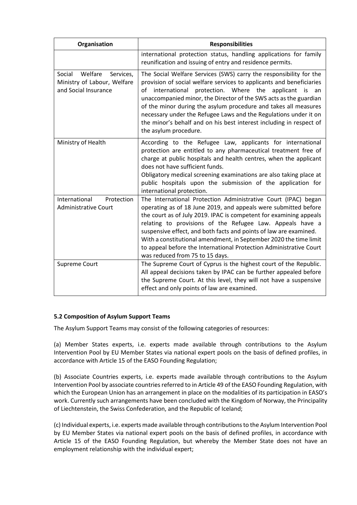| Organisation                                                                       | <b>Responsibilities</b>                                                                                                                                                                                                                                                                                                                                                                                                                                                                                                   |
|------------------------------------------------------------------------------------|---------------------------------------------------------------------------------------------------------------------------------------------------------------------------------------------------------------------------------------------------------------------------------------------------------------------------------------------------------------------------------------------------------------------------------------------------------------------------------------------------------------------------|
|                                                                                    | international protection status, handling applications for family<br>reunification and issuing of entry and residence permits.                                                                                                                                                                                                                                                                                                                                                                                            |
| Social<br>Welfare Services,<br>Ministry of Labour, Welfare<br>and Social Insurance | The Social Welfare Services (SWS) carry the responsibility for the<br>provision of social welfare services to applicants and beneficiaries<br>of international<br>protection. Where the applicant<br>is<br>an<br>unaccompanied minor, the Director of the SWS acts as the guardian<br>of the minor during the asylum procedure and takes all measures<br>necessary under the Refugee Laws and the Regulations under it on<br>the minor's behalf and on his best interest including in respect of<br>the asylum procedure. |
| Ministry of Health                                                                 | According to the Refugee Law, applicants for international<br>protection are entitled to any pharmaceutical treatment free of<br>charge at public hospitals and health centres, when the applicant<br>does not have sufficient funds.<br>Obligatory medical screening examinations are also taking place at<br>public hospitals upon the submission of the application for<br>international protection.                                                                                                                   |
| International<br>Protection<br><b>Administrative Court</b>                         | The International Protection Administrative Court (IPAC) began<br>operating as of 18 June 2019, and appeals were submitted before<br>the court as of July 2019. IPAC is competent for examining appeals<br>relating to provisions of the Refugee Law. Appeals have a<br>suspensive effect, and both facts and points of law are examined.<br>With a constitutional amendment, in September 2020 the time limit<br>to appeal before the International Protection Administrative Court<br>was reduced from 75 to 15 days.   |
| <b>Supreme Court</b>                                                               | The Supreme Court of Cyprus is the highest court of the Republic.<br>All appeal decisions taken by IPAC can be further appealed before<br>the Supreme Court. At this level, they will not have a suspensive<br>effect and only points of law are examined.                                                                                                                                                                                                                                                                |

# **5.2 Composition of Asylum Support Teams**

The Asylum Support Teams may consist of the following categories of resources:

(a) Member States experts, i.e. experts made available through contributions to the Asylum Intervention Pool by EU Member States via national expert pools on the basis of defined profiles, in accordance with Article 15 of the EASO Founding Regulation;

(b) Associate Countries experts, i.e. experts made available through contributions to the Asylum Intervention Pool by associate countries referred to in Article 49 of the EASO Founding Regulation, with which the European Union has an arrangement in place on the modalities of its participation in EASO's work. Currently such arrangements have been concluded with the Kingdom of Norway, the Principality of Liechtenstein, the Swiss Confederation, and the Republic of Iceland;

(c) Individual experts, i.e. experts made available through contributions to the Asylum Intervention Pool by EU Member States via national expert pools on the basis of defined profiles, in accordance with Article 15 of the EASO Founding Regulation, but whereby the Member State does not have an employment relationship with the individual expert;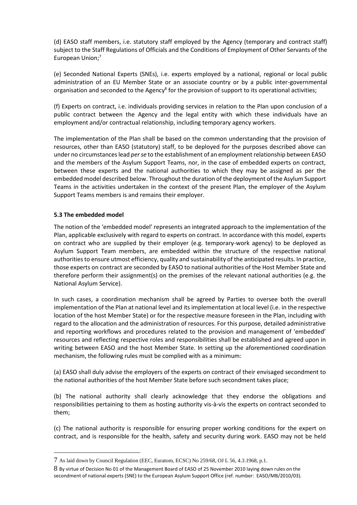(d) EASO staff members, i.e. statutory staff employed by the Agency (temporary and contract staff) subject to the Staff Regulations of Officials and the Conditions of Employment of Other Servants of the European Union; 7

(e) Seconded National Experts (SNEs), i.e. experts employed by a national, regional or local public administration of an EU Member State or an associate country or by a public inter-governmental organisation and seconded to the Agency<sup>8</sup> for the provision of support to its operational activities;

(f) Experts on contract, i.e. individuals providing services in relation to the Plan upon conclusion of a public contract between the Agency and the legal entity with which these individuals have an employment and/or contractual relationship, including temporary agency workers.

The implementation of the Plan shall be based on the common understanding that the provision of resources, other than EASO (statutory) staff, to be deployed for the purposes described above can under no circumstances lead *per se* to the establishment of an employment relationship between EASO and the members of the Asylum Support Teams, nor, in the case of embedded experts on contract, between these experts and the national authorities to which they may be assigned as per the embedded model described below. Throughout the duration of the deployment of the Asylum Support Teams in the activities undertaken in the context of the present Plan, the employer of the Asylum Support Teams members is and remains their employer.

## **5.3 The embedded model**

 $\overline{a}$ 

The notion of the 'embedded model' represents an integrated approach to the implementation of the Plan, applicable exclusively with regard to experts on contract. In accordance with this model, experts on contract who are supplied by their employer (e.g. temporary-work agency) to be deployed as Asylum Support Team members, are embedded within the structure of the respective national authorities to ensure utmost efficiency, quality and sustainability of the anticipated results. In practice, those experts on contract are seconded by EASO to national authorities of the Host Member State and therefore perform their assignment(s) on the premises of the relevant national authorities (e.g. the National Asylum Service).

In such cases, a coordination mechanism shall be agreed by Parties to oversee both the overall implementation of the Plan at national level and its implementation at local level (i.e. in the respective location of the host Member State) or for the respective measure foreseen in the Plan, including with regard to the allocation and the administration of resources. For this purpose, detailed administrative and reporting workflows and procedures related to the provision and management of 'embedded' resources and reflecting respective roles and responsibilities shall be established and agreed upon in writing between EASO and the host Member State. In setting up the aforementioned coordination mechanism, the following rules must be complied with as a minimum:

(a) EASO shall duly advise the employers of the experts on contract of their envisaged secondment to the national authorities of the host Member State before such secondment takes place;

(b) The national authority shall clearly acknowledge that they endorse the obligations and responsibilities pertaining to them as hosting authority vis-à-vis the experts on contract seconded to them;

(c) The national authority is responsible for ensuring proper working conditions for the expert on contract, and is responsible for the health, safety and security during work. EASO may not be held

<sup>7</sup> As laid down by Council Regulation (EEC, Euratom, ECSC) No 259/68, OJ L 56, 4.3.1968, p.1.

<sup>8</sup> By virtue of Decision No 01 of the Management Board of EASO of 25 November 2010 laying down rules on the secondment of national experts (SNE) to the European Asylum Support Office (ref. number: EASO/MB/2010/03).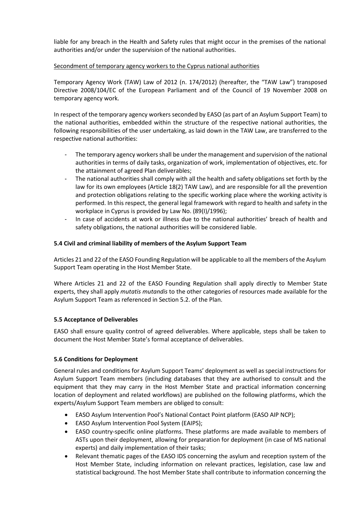liable for any breach in the Health and Safety rules that might occur in the premises of the national authorities and/or under the supervision of the national authorities.

## Secondment of temporary agency workers to the Cyprus national authorities

Temporary Agency Work (TAW) Law of 2012 (n. 174/2012) (hereafter, the "TAW Law") transposed Directive 2008/104/EC of the European Parliament and of the Council of 19 November 2008 on temporary agency work.

In respect of the temporary agency workers seconded by EASO (as part of an Asylum Support Team) to the national authorities, embedded within the structure of the respective national authorities, the following responsibilities of the user undertaking, as laid down in the TAW Law, are transferred to the respective national authorities:

- The temporary agency workers shall be under the management and supervision of the national authorities in terms of daily tasks, organization of work, implementation of objectives, etc. for the attainment of agreed Plan deliverables;
- The national authorities shall comply with all the health and safety obligations set forth by the law for its own employees (Article 18(2) TAW Law), and are responsible for all the prevention and protection obligations relating to the specific working place where the working activity is performed. In this respect, the general legal framework with regard to health and safety in the workplace in Cyprus is provided by Law No. (89(I)/1996);
- In case of accidents at work or illness due to the national authorities' breach of health and safety obligations, the national authorities will be considered liable.

# **5.4 Civil and criminal liability of members of the Asylum Support Team**

Articles 21 and 22 of the EASO Founding Regulation will be applicable to all the members of the Asylum Support Team operating in the Host Member State.

Where Articles 21 and 22 of the EASO Founding Regulation shall apply directly to Member State experts, they shall apply *mutatis mutandis* to the other categories of resources made available for the Asylum Support Team as referenced in Section 5.2. of the Plan.

#### **5.5 Acceptance of Deliverables**

EASO shall ensure quality control of agreed deliverables. Where applicable, steps shall be taken to document the Host Member State's formal acceptance of deliverables.

# **5.6 Conditions for Deployment**

General rules and conditions for Asylum Support Teams' deployment as well as special instructions for Asylum Support Team members (including databases that they are authorised to consult and the equipment that they may carry in the Host Member State and practical information concerning location of deployment and related workflows) are published on the following platforms, which the experts/Asylum Support Team members are obliged to consult:

- EASO Asylum Intervention Pool's National Contact Point platform (EASO AIP NCP);
- EASO Asylum Intervention Pool System (EAIPS);
- EASO country-specific online platforms. These platforms are made available to members of ASTs upon their deployment, allowing for preparation for deployment (in case of MS national experts) and daily implementation of their tasks;
- Relevant thematic pages of the EASO IDS concerning the asylum and reception system of the Host Member State, including information on relevant practices, legislation, case law and statistical background. The host Member State shall contribute to information concerning the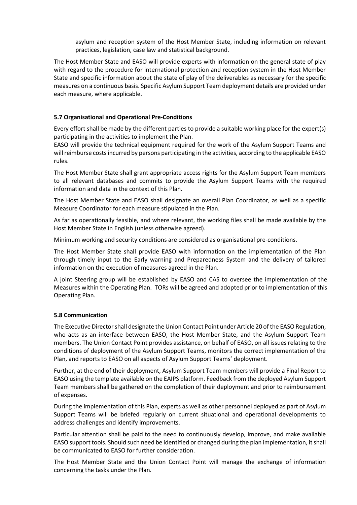asylum and reception system of the Host Member State, including information on relevant practices, legislation, case law and statistical background.

The Host Member State and EASO will provide experts with information on the general state of play with regard to the procedure for international protection and reception system in the Host Member State and specific information about the state of play of the deliverables as necessary for the specific measures on a continuous basis. Specific Asylum Support Team deployment details are provided under each measure, where applicable.

#### **5.7 Organisational and Operational Pre-Conditions**

Every effort shall be made by the different parties to provide a suitable working place for the expert(s) participating in the activities to implement the Plan.

EASO will provide the technical equipment required for the work of the Asylum Support Teams and will reimburse costs incurred by persons participating in the activities, according to the applicable EASO rules.

The Host Member State shall grant appropriate access rights for the Asylum Support Team members to all relevant databases and commits to provide the Asylum Support Teams with the required information and data in the context of this Plan.

The Host Member State and EASO shall designate an overall Plan Coordinator, as well as a specific Measure Coordinator for each measure stipulated in the Plan.

As far as operationally feasible, and where relevant, the working files shall be made available by the Host Member State in English (unless otherwise agreed).

Minimum working and security conditions are considered as organisational pre-conditions.

The Host Member State shall provide EASO with information on the implementation of the Plan through timely input to the Early warning and Preparedness System and the delivery of tailored information on the execution of measures agreed in the Plan.

A joint Steering group will be established by EASO and CAS to oversee the implementation of the Measures within the Operating Plan. TORs will be agreed and adopted prior to implementation of this Operating Plan.

#### **5.8 Communication**

The Executive Director shall designate the Union Contact Point under Article 20 of the EASO Regulation, who acts as an interface between EASO, the Host Member State, and the Asylum Support Team members. The Union Contact Point provides assistance, on behalf of EASO, on all issues relating to the conditions of deployment of the Asylum Support Teams, monitors the correct implementation of the Plan, and reports to EASO on all aspects of Asylum Support Teams' deployment.

Further, at the end of their deployment, Asylum Support Team members will provide a Final Report to EASO using the template available on the EAIPS platform. Feedback from the deployed Asylum Support Team members shall be gathered on the completion of their deployment and prior to reimbursement of expenses.

During the implementation of this Plan, experts as well as other personnel deployed as part of Asylum Support Teams will be briefed regularly on current situational and operational developments to address challenges and identify improvements.

Particular attention shall be paid to the need to continuously develop, improve, and make available EASO support tools. Should such need be identified or changed during the plan implementation, it shall be communicated to EASO for further consideration.

The Host Member State and the Union Contact Point will manage the exchange of information concerning the tasks under the Plan.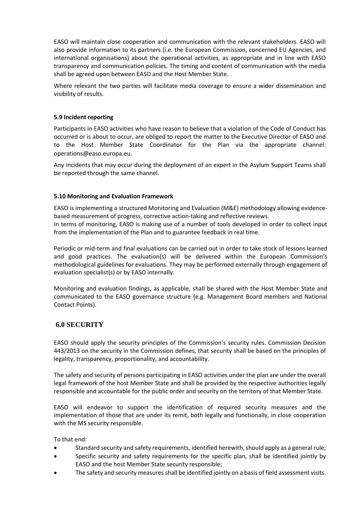EASO will maintain close cooperation and communication with the relevant stakeholders. EASO will also provide information to its partners (i.e. the European Commission, concerned EU Agencies, and international organisations) about the operational activities, as appropriate and in line with EASO transparency and communication policies. The timing and content of communication with the media shall be agreed upon between EASO and the Host Member State.

Where relevant the two parties will facilitate media coverage to ensure a wider dissemination and visibility of results.

#### **5.9 Incident reporting**

Participants in EASO activities who have reason to believe that a violation of the Code of Conduct has occurred or is about to occur, are obliged to report the matter to the Executive Director of EASO and to the Host Member State Coordinator for the Plan via the appropriate channel: [operations@easo.europa.eu](mailto:channel:%20%20%20operations@easo.europa.eu).

Any incidents that may occur during the deployment of an expert in the Asylum Support Teams shall be reported through the same channel.

#### **5.10 Monitoring and Evaluation Framework**

EASO is implementing a structured Monitoring and Evaluation (M&E) methodology allowing evidencebased measurement of progress, corrective action-taking and reflective reviews. In terms of monitoring, EASO is making use of a number of tools developed in order to collect input from the implementation of the Plan and to guarantee feedback in real time.

Periodic or mid-term and final evaluations can be carried out in order to take stock of lessons learned and good practices. The evaluation(s) will be delivered within the European Commission's methodological guidelines for evaluations. They may be performed externally through engagement of evaluation specialist(s) or by EASO internally.

Monitoring and evaluation findings, as applicable, shall be shared with the Host Member State and communicated to the EASO governance structure (e.g. Management Board members and National Contact Points).

#### **6.0 SECURITY**

EASO should apply the security principles of the Commission's security rules. Commission Decision 443/2013 on the security in the Commission defines, that security shall be based on the principles of legality, transparency, proportionality, and accountability.

The safety and security of persons participating in EASO activities under the plan are under the overall legal framework of the host Member State and shall be provided by the respective authorities legally responsible and accountable for the public order and security on the territory of that Member State.

EASO will endeavor to support the identification of required security measures and the implementation of those that are under its remit, both legally and functionally, in close cooperation with the MS security responsible.

To that end:

- Standard security and safety requirements, identified herewith, should apply as a general rule;
- Specific security and safety requirements for the specific plan, shall be identified jointly by EASO and the host Member State security responsible;
- The safety and security measures shall be identified jointly on a basis of field assessment visits.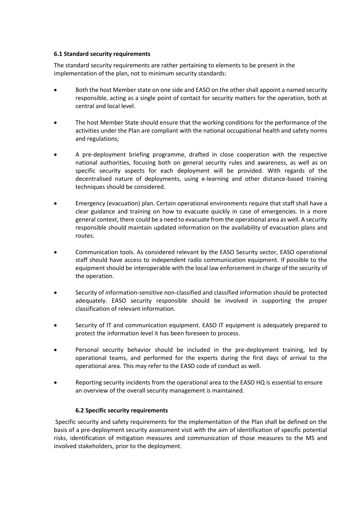#### **6.1 Standard security requirements**

The standard security requirements are rather pertaining to elements to be present in the implementation of the plan, not to minimum security standards:

- Both the host Member state on one side and EASO on the other shall appoint a named security responsible, acting as a single point of contact for security matters for the operation, both at central and local level.
- The host Member State should ensure that the working conditions for the performance of the activities under the Plan are compliant with the national occupational health and safety norms and regulations;
- A pre-deployment briefing programme, drafted in close cooperation with the respective national authorities, focusing both on general security rules and awareness, as well as on specific security aspects for each deployment will be provided. With regards of the decentralised nature of deployments, using e-learning and other distance-based training techniques should be considered.
- Emergency (evacuation) plan. Certain operational environments require that staff shall have a clear guidance and training on how to evacuate quickly in case of emergencies. In a more general context, there could be a need to evacuate from the operational area as well. A security responsible should maintain updated information on the availability of evacuation plans and routes.
- Communication tools. As considered relevant by the EASO Security sector, EASO operational staff should have access to independent radio communication equipment. If possible to the equipment should be interoperable with the local law enforcement in charge of the security of the operation.
- Security of information-sensitive non-classified and classified information should be protected adequately. EASO security responsible should be involved in supporting the proper classification of relevant information.
- Security of IT and communication equipment. EASO IT equipment is adequately prepared to protect the information level it has been foreseen to process.
- Personal security behavior should be included in the pre-deployment training, led by operational teams, and performed for the experts during the first days of arrival to the operational area. This may refer to the EASO code of conduct as well.
- Reporting security incidents from the operational area to the EASO HQ is essential to ensure an overview of the overall security management is maintained.

# **6.2 Specific security requirements**

Specific security and safety requirements for the implementation of the Plan shall be defined on the basis of a pre-deployment security assessment visit with the aim of identification of specific potential risks, identification of mitigation measures and communication of those measures to the MS and involved stakeholders, prior to the deployment.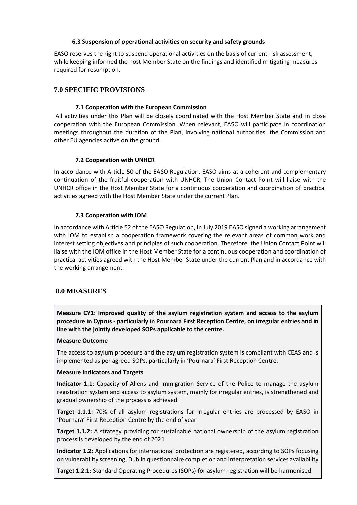## **6.3 Suspension of operational activities on security and safety grounds**

EASO reserves the right to suspend operational activities on the basis of current risk assessment, while keeping informed the host Member State on the findings and identified mitigating measures required for resumption**.**

# **7.0 SPECIFIC PROVISIONS**

## **7.1 Cooperation with the European Commission**

All activities under this Plan will be closely coordinated with the Host Member State and in close cooperation with the European Commission. When relevant, EASO will participate in coordination meetings throughout the duration of the Plan, involving national authorities, the Commission and other EU agencies active on the ground.

## **7.2 Cooperation with UNHCR**

In accordance with Article 50 of the EASO Regulation, EASO aims at a coherent and complementary continuation of the fruitful cooperation with UNHCR. The Union Contact Point will liaise with the UNHCR office in the Host Member State for a continuous cooperation and coordination of practical activities agreed with the Host Member State under the current Plan.

## **7.3 Cooperation with IOM**

In accordance with Article 52 of the EASO Regulation, in July 2019 EASO signed a working arrangement with IOM to establish a cooperation framework covering the relevant areas of common work and interest setting objectives and principles of such cooperation. Therefore, the Union Contact Point will liaise with the IOM office in the Host Member State for a continuous cooperation and coordination of practical activities agreed with the Host Member State under the current Plan and in accordance with the working arrangement.

# **8.0 MEASURES**

**Measure CY1: Improved quality of the asylum registration system and access to the asylum procedure in Cyprus - particularly in Pournara First Reception Centre, on irregular entries and in line with the jointly developed SOPs applicable to the centre.**

#### **Measure Outcome**

The access to asylum procedure and the asylum registration system is compliant with CEAS and is implemented as per agreed SOPs, particularly in 'Pournara' First Reception Centre.

#### **Measure Indicators and Targets**

**Indicator 1.1**: Capacity of Aliens and Immigration Service of the Police to manage the asylum registration system and access to asylum system, mainly for irregular entries, is strengthened and gradual ownership of the process is achieved.

**Target 1.1.1:** 70% of all asylum registrations for irregular entries are processed by EASO in 'Pournara' First Reception Centre by the end of year

**Target 1.1.2:** A strategy providing for sustainable national ownership of the asylum registration process is developed by the end of 2021

**Indicator 1.2**: Applications for international protection are registered, according to SOPs focusing on vulnerability screening, Dublin questionnaire completion and interpretation services availability

**Target 1.2.1:** Standard Operating Procedures (SOPs) for asylum registration will be harmonised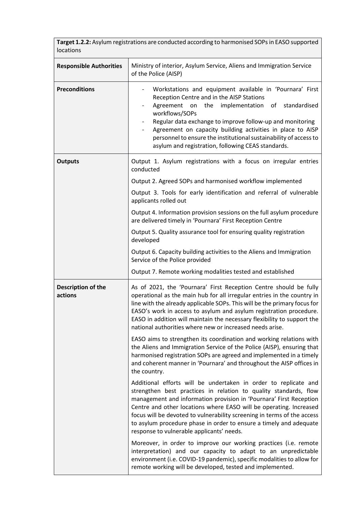| locations                      | Target 1.2.2: Asylum registrations are conducted according to harmonised SOPs in EASO supported                                                                                                                                                                                                                                                                                                                                                                               |
|--------------------------------|-------------------------------------------------------------------------------------------------------------------------------------------------------------------------------------------------------------------------------------------------------------------------------------------------------------------------------------------------------------------------------------------------------------------------------------------------------------------------------|
| <b>Responsible Authorities</b> | Ministry of interior, Asylum Service, Aliens and Immigration Service<br>of the Police (AISP)                                                                                                                                                                                                                                                                                                                                                                                  |
| <b>Preconditions</b>           | Workstations and equipment available in 'Pournara' First<br>Reception Centre and in the AISP Stations<br>Agreement on<br>the<br>implementation<br>of standardised<br>workflows/SOPs<br>Regular data exchange to improve follow-up and monitoring<br>Agreement on capacity building activities in place to AISP<br>personnel to ensure the institutional sustainability of access to<br>asylum and registration, following CEAS standards.                                     |
| <b>Outputs</b>                 | Output 1. Asylum registrations with a focus on irregular entries<br>conducted                                                                                                                                                                                                                                                                                                                                                                                                 |
|                                | Output 2. Agreed SOPs and harmonised workflow implemented                                                                                                                                                                                                                                                                                                                                                                                                                     |
|                                | Output 3. Tools for early identification and referral of vulnerable<br>applicants rolled out                                                                                                                                                                                                                                                                                                                                                                                  |
|                                | Output 4. Information provision sessions on the full asylum procedure<br>are delivered timely in 'Pournara' First Reception Centre                                                                                                                                                                                                                                                                                                                                            |
|                                | Output 5. Quality assurance tool for ensuring quality registration<br>developed                                                                                                                                                                                                                                                                                                                                                                                               |
|                                | Output 6. Capacity building activities to the Aliens and Immigration<br>Service of the Police provided                                                                                                                                                                                                                                                                                                                                                                        |
|                                | Output 7. Remote working modalities tested and established                                                                                                                                                                                                                                                                                                                                                                                                                    |
| Description of the<br>actions  | As of 2021, the 'Pournara' First Reception Centre should be fully<br>operational as the main hub for all irregular entries in the country in<br>line with the already applicable SOPs. This will be the primary focus for<br>EASO's work in access to asylum and asylum registration procedure.<br>EASO in addition will maintain the necessary flexibility to support the<br>national authorities where new or increased needs arise.                                        |
|                                | EASO aims to strengthen its coordination and working relations with<br>the Aliens and Immigration Service of the Police (AISP), ensuring that<br>harmonised registration SOPs are agreed and implemented in a timely<br>and coherent manner in 'Pournara' and throughout the AISP offices in<br>the country.                                                                                                                                                                  |
|                                | Additional efforts will be undertaken in order to replicate and<br>strengthen best practices in relation to quality standards, flow<br>management and information provision in 'Pournara' First Reception<br>Centre and other locations where EASO will be operating. Increased<br>focus will be devoted to vulnerability screening in terms of the access<br>to asylum procedure phase in order to ensure a timely and adequate<br>response to vulnerable applicants' needs. |
|                                | Moreover, in order to improve our working practices (i.e. remote<br>interpretation) and our capacity to adapt to an unpredictable<br>environment (i.e. COVID-19 pandemic), specific modalities to allow for<br>remote working will be developed, tested and implemented.                                                                                                                                                                                                      |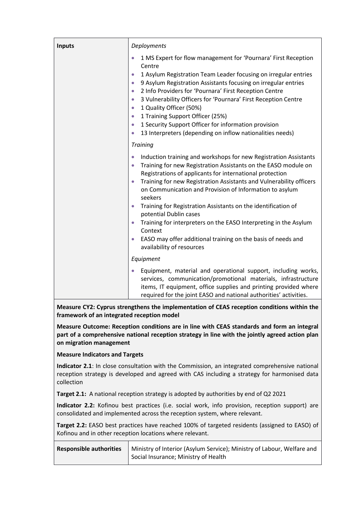| <b>Inputs</b> | Deployments                                                                                                                                                                                                                                                                                                                                                                                                                                                                                                                                                                                                                                        |
|---------------|----------------------------------------------------------------------------------------------------------------------------------------------------------------------------------------------------------------------------------------------------------------------------------------------------------------------------------------------------------------------------------------------------------------------------------------------------------------------------------------------------------------------------------------------------------------------------------------------------------------------------------------------------|
|               | 1 MS Expert for flow management for 'Pournara' First Reception<br>$\bullet$<br>Centre<br>1 Asylum Registration Team Leader focusing on irregular entries<br>$\bullet$<br>9 Asylum Registration Assistants focusing on irregular entries<br>$\bullet$<br>2 Info Providers for 'Pournara' First Reception Centre<br>$\bullet$<br>3 Vulnerability Officers for 'Pournara' First Reception Centre<br>$\bullet$<br>1 Quality Officer (50%)<br>$\bullet$<br>1 Training Support Officer (25%)<br>$\bullet$<br>1 Security Support Officer for information provision<br>$\bullet$<br>13 Interpreters (depending on inflow nationalities needs)<br>$\bullet$ |
|               | <b>Training</b>                                                                                                                                                                                                                                                                                                                                                                                                                                                                                                                                                                                                                                    |
|               | Induction training and workshops for new Registration Assistants<br>$\bullet$<br>Training for new Registration Assistants on the EASO module on<br>$\bullet$<br>Registrations of applicants for international protection<br>Training for new Registration Assistants and Vulnerability officers<br>on Communication and Provision of Information to asylum<br>seekers<br>Training for Registration Assistants on the identification of<br>potential Dublin cases                                                                                                                                                                                   |
|               | Training for interpreters on the EASO Interpreting in the Asylum<br>$\bullet$<br>Context                                                                                                                                                                                                                                                                                                                                                                                                                                                                                                                                                           |
|               | EASO may offer additional training on the basis of needs and<br>availability of resources                                                                                                                                                                                                                                                                                                                                                                                                                                                                                                                                                          |
|               | Equipment                                                                                                                                                                                                                                                                                                                                                                                                                                                                                                                                                                                                                                          |
|               | Equipment, material and operational support, including works,<br>services, communication/promotional materials, infrastructure<br>items, IT equipment, office supplies and printing provided where<br>required for the joint EASO and national authorities' activities.                                                                                                                                                                                                                                                                                                                                                                            |

**Measure CY2: Cyprus strengthens the implementation of CEAS reception conditions within the framework of an integrated reception model**

**Measure Outcome: Reception conditions are in line with CEAS standards and form an integral part of a comprehensive national reception strategy in line with the jointly agreed action plan on migration management**

**Measure Indicators and Targets**

**Indicator 2.1**: In close consultation with the Commission, an integrated comprehensive national reception strategy is developed and agreed with CAS including a strategy for harmonised data collection

**Target 2.1:** A national reception strategy is adopted by authorities by end of Q2 2021

**Indicator 2.2:** Kofinou best practices (i.e. social work, info provision, reception support) are consolidated and implemented across the reception system, where relevant.

**Target 2.2:** EASO best practices have reached 100% of targeted residents (assigned to EASO) of Kofinou and in other reception locations where relevant.

| <b>Responsible authorities</b> | Ministry of Interior (Asylum Service); Ministry of Labour, Welfare and |
|--------------------------------|------------------------------------------------------------------------|
|                                | Social Insurance; Ministry of Health                                   |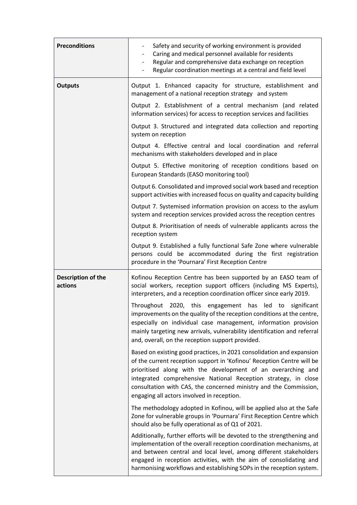| <b>Preconditions</b>          | Safety and security of working environment is provided<br>Caring and medical personnel available for residents<br>Regular and comprehensive data exchange on reception<br>$\overline{\phantom{0}}$<br>Regular coordination meetings at a central and field level                                                                                                                                     |
|-------------------------------|------------------------------------------------------------------------------------------------------------------------------------------------------------------------------------------------------------------------------------------------------------------------------------------------------------------------------------------------------------------------------------------------------|
| <b>Outputs</b>                | Output 1. Enhanced capacity for structure, establishment and<br>management of a national reception strategy and system                                                                                                                                                                                                                                                                               |
|                               | Output 2. Establishment of a central mechanism (and related<br>information services) for access to reception services and facilities                                                                                                                                                                                                                                                                 |
|                               | Output 3. Structured and integrated data collection and reporting<br>system on reception                                                                                                                                                                                                                                                                                                             |
|                               | Output 4. Effective central and local coordination and referral<br>mechanisms with stakeholders developed and in place                                                                                                                                                                                                                                                                               |
|                               | Output 5. Effective monitoring of reception conditions based on<br>European Standards (EASO monitoring tool)                                                                                                                                                                                                                                                                                         |
|                               | Output 6. Consolidated and improved social work based and reception<br>support activities with increased focus on quality and capacity building                                                                                                                                                                                                                                                      |
|                               | Output 7. Systemised information provision on access to the asylum<br>system and reception services provided across the reception centres                                                                                                                                                                                                                                                            |
|                               | Output 8. Prioritisation of needs of vulnerable applicants across the<br>reception system                                                                                                                                                                                                                                                                                                            |
|                               | Output 9. Established a fully functional Safe Zone where vulnerable<br>persons could be accommodated during the first registration<br>procedure in the 'Pournara' First Reception Centre                                                                                                                                                                                                             |
| Description of the<br>actions | Kofinou Reception Centre has been supported by an EASO team of<br>social workers, reception support officers (including MS Experts),<br>interpreters, and a reception coordination officer since early 2019.                                                                                                                                                                                         |
|                               | Throughout 2020, this<br>engagement has led to<br>significant<br>improvements on the quality of the reception conditions at the centre,<br>especially on individual case management, information provision<br>mainly targeting new arrivals, vulnerability identification and referral<br>and, overall, on the reception support provided.                                                           |
|                               | Based on existing good practices, in 2021 consolidation and expansion<br>of the current reception support in 'Kofinou' Reception Centre will be<br>prioritised along with the development of an overarching and<br>integrated comprehensive National Reception strategy, in close<br>consultation with CAS, the concerned ministry and the Commission,<br>engaging all actors involved in reception. |
|                               | The methodology adopted in Kofinou, will be applied also at the Safe<br>Zone for vulnerable groups in 'Pournara' First Reception Centre which<br>should also be fully operational as of Q1 of 2021.                                                                                                                                                                                                  |
|                               | Additionally, further efforts will be devoted to the strengthening and<br>implementation of the overall reception coordination mechanisms, at<br>and between central and local level, among different stakeholders<br>engaged in reception activities, with the aim of consolidating and<br>harmonising workflows and establishing SOPs in the reception system.                                     |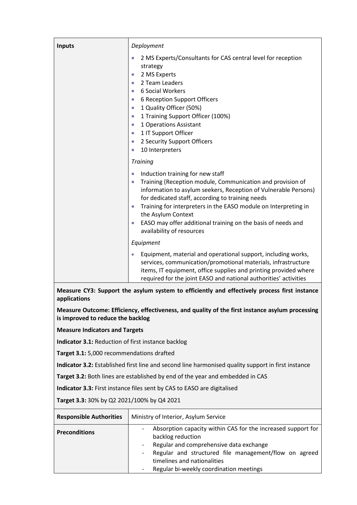| <b>Inputs</b> | Deployment                                                                                                                                                                                                                                                                                                                                                                                                                                                                                           |  |
|---------------|------------------------------------------------------------------------------------------------------------------------------------------------------------------------------------------------------------------------------------------------------------------------------------------------------------------------------------------------------------------------------------------------------------------------------------------------------------------------------------------------------|--|
|               | 2 MS Experts/Consultants for CAS central level for reception<br>$\bullet$<br>strategy<br>2 MS Experts<br>$\bullet$<br>2 Team Leaders<br>$\bullet$<br>6 Social Workers<br>$\bullet$<br>6 Reception Support Officers<br>$\bullet$<br>1 Quality Officer (50%)<br>$\bullet$<br>1 Training Support Officer (100%)<br>$\bullet$<br>1 Operations Assistant<br>$\bullet$<br>1 IT Support Officer<br>$\bullet$<br>2 Security Support Officers<br>$\bullet$<br>10 Interpreters<br>$\bullet$<br><b>Training</b> |  |
|               | Induction training for new staff<br>$\bullet$<br>Training (Reception module, Communication and provision of<br>$\bullet$<br>information to asylum seekers, Reception of Vulnerable Persons)<br>for dedicated staff, according to training needs<br>Training for interpreters in the EASO module on Interpreting in<br>the Asylum Context<br>EASO may offer additional training on the basis of needs and<br>availability of resources<br>Equipment                                                   |  |
|               | Equipment, material and operational support, including works,<br>$\bullet$<br>services, communication/promotional materials, infrastructure<br>items, IT equipment, office supplies and printing provided where<br>required for the joint EASO and national authorities' activities                                                                                                                                                                                                                  |  |

**Measure CY3: Support the asylum system to efficiently and effectively process first instance applications**

**Measure Outcome: Efficiency, effectiveness, and quality of the first instance asylum processing is improved to reduce the backlog** 

**Measure Indicators and Targets**

**Indicator 3.1:** Reduction of first instance backlog

**Target 3.1:** 5,000 recommendations drafted

**Indicator 3.2:** Established first line and second line harmonised quality support in first instance

**Target 3.2:** Both lines are established by end of the year and embedded in CAS

**Indicator 3.3:** First instance files sent by CAS to EASO are digitalised

**Target 3.3:** 30% by Q2 2021/100% by Q4 2021

| <b>Responsible Authorities</b> | Ministry of Interior, Asylum Service                                                                                                                                                                                                                                               |
|--------------------------------|------------------------------------------------------------------------------------------------------------------------------------------------------------------------------------------------------------------------------------------------------------------------------------|
| <b>Preconditions</b>           | Absorption capacity within CAS for the increased support for<br>backlog reduction<br>Regular and comprehensive data exchange<br>Regular and structured file management/flow on agreed<br>$\sim$ 10 $\pm$<br>timelines and nationalities<br>Regular bi-weekly coordination meetings |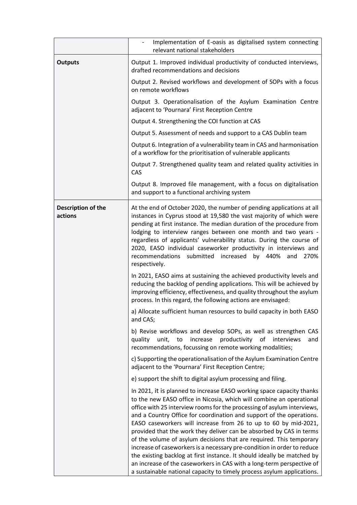|                               | Implementation of E-oasis as digitalised system connecting<br>relevant national stakeholders                                                                                                                                                                                                                                                                                                                                                                                                                                                                                                                                                                                                                                                     |
|-------------------------------|--------------------------------------------------------------------------------------------------------------------------------------------------------------------------------------------------------------------------------------------------------------------------------------------------------------------------------------------------------------------------------------------------------------------------------------------------------------------------------------------------------------------------------------------------------------------------------------------------------------------------------------------------------------------------------------------------------------------------------------------------|
| <b>Outputs</b>                | Output 1. Improved individual productivity of conducted interviews,<br>drafted recommendations and decisions                                                                                                                                                                                                                                                                                                                                                                                                                                                                                                                                                                                                                                     |
|                               | Output 2. Revised workflows and development of SOPs with a focus<br>on remote workflows                                                                                                                                                                                                                                                                                                                                                                                                                                                                                                                                                                                                                                                          |
|                               | Output 3. Operationalisation of the Asylum Examination Centre<br>adjacent to 'Pournara' First Reception Centre                                                                                                                                                                                                                                                                                                                                                                                                                                                                                                                                                                                                                                   |
|                               | Output 4. Strengthening the COI function at CAS                                                                                                                                                                                                                                                                                                                                                                                                                                                                                                                                                                                                                                                                                                  |
|                               | Output 5. Assessment of needs and support to a CAS Dublin team                                                                                                                                                                                                                                                                                                                                                                                                                                                                                                                                                                                                                                                                                   |
|                               | Output 6. Integration of a vulnerability team in CAS and harmonisation<br>of a workflow for the prioritisation of vulnerable applicants                                                                                                                                                                                                                                                                                                                                                                                                                                                                                                                                                                                                          |
|                               | Output 7. Strengthened quality team and related quality activities in<br>CAS                                                                                                                                                                                                                                                                                                                                                                                                                                                                                                                                                                                                                                                                     |
|                               | Output 8. Improved file management, with a focus on digitalisation<br>and support to a functional archiving system                                                                                                                                                                                                                                                                                                                                                                                                                                                                                                                                                                                                                               |
| Description of the<br>actions | At the end of October 2020, the number of pending applications at all<br>instances in Cyprus stood at 19,580 the vast majority of which were<br>pending at first instance. The median duration of the procedure from<br>lodging to interview ranges between one month and two years -<br>regardless of applicants' vulnerability status. During the course of<br>2020, EASO individual caseworker productivity in interviews and<br>recommendations submitted increased by 440%<br>and<br>270%<br>respectively.                                                                                                                                                                                                                                  |
|                               | In 2021, EASO aims at sustaining the achieved productivity levels and<br>reducing the backlog of pending applications. This will be achieved by<br>improving efficiency, effectiveness, and quality throughout the asylum<br>process. In this regard, the following actions are envisaged:                                                                                                                                                                                                                                                                                                                                                                                                                                                       |
|                               | a) Allocate sufficient human resources to build capacity in both EASO<br>and CAS;                                                                                                                                                                                                                                                                                                                                                                                                                                                                                                                                                                                                                                                                |
|                               | b) Revise workflows and develop SOPs, as well as strengthen CAS<br>to<br>productivity<br>of<br>unit,<br>increase<br>interviews<br>quality<br>and<br>recommendations, focussing on remote working modalities;                                                                                                                                                                                                                                                                                                                                                                                                                                                                                                                                     |
|                               | c) Supporting the operationalisation of the Asylum Examination Centre<br>adjacent to the 'Pournara' First Reception Centre;                                                                                                                                                                                                                                                                                                                                                                                                                                                                                                                                                                                                                      |
|                               | e) support the shift to digital asylum processing and filing.                                                                                                                                                                                                                                                                                                                                                                                                                                                                                                                                                                                                                                                                                    |
|                               | In 2021, it is planned to increase EASO working space capacity thanks<br>to the new EASO office in Nicosia, which will combine an operational<br>office with 25 interview rooms for the processing of asylum interviews,<br>and a Country Office for coordination and support of the operations.<br>EASO caseworkers will increase from 26 to up to 60 by mid-2021,<br>provided that the work they deliver can be absorbed by CAS in terms<br>of the volume of asylum decisions that are required. This temporary<br>increase of caseworkers is a necessary pre-condition in order to reduce<br>the existing backlog at first instance. It should ideally be matched by<br>an increase of the caseworkers in CAS with a long-term perspective of |
|                               | a sustainable national capacity to timely process asylum applications.                                                                                                                                                                                                                                                                                                                                                                                                                                                                                                                                                                                                                                                                           |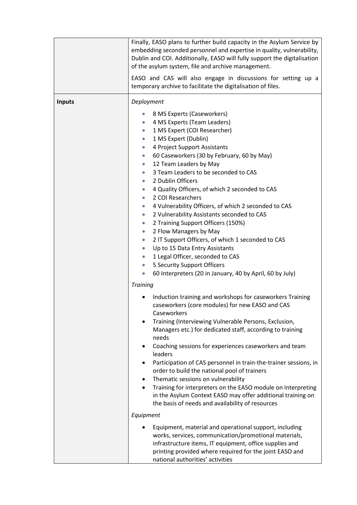|               | Finally, EASO plans to further build capacity in the Asylum Service by<br>embedding seconded personnel and expertise in quality, vulnerability,<br>Dublin and COI. Additionally, EASO will fully support the digitalisation<br>of the asylum system, file and archive management.<br>EASO and CAS will also engage in discussions for setting up a<br>temporary archive to facilitate the digitalisation of files.                                                                                                                                                                                                                                                                                                                                                                                                                                                                                                                                                                                                                                                                                                                                                                                                                                                                                                                                                                                                                                                                                                                                                                                                                                              |
|---------------|-----------------------------------------------------------------------------------------------------------------------------------------------------------------------------------------------------------------------------------------------------------------------------------------------------------------------------------------------------------------------------------------------------------------------------------------------------------------------------------------------------------------------------------------------------------------------------------------------------------------------------------------------------------------------------------------------------------------------------------------------------------------------------------------------------------------------------------------------------------------------------------------------------------------------------------------------------------------------------------------------------------------------------------------------------------------------------------------------------------------------------------------------------------------------------------------------------------------------------------------------------------------------------------------------------------------------------------------------------------------------------------------------------------------------------------------------------------------------------------------------------------------------------------------------------------------------------------------------------------------------------------------------------------------|
| <b>Inputs</b> | Deployment<br>8 MS Experts (Caseworkers)<br>$\bullet$<br>4 MS Experts (Team Leaders)<br>$\bullet$<br>1 MS Expert (COI Researcher)<br>$\bullet$<br>1 MS Expert (Dublin)<br>$\bullet$<br>4 Project Support Assistants<br>$\bullet$<br>60 Caseworkers (30 by February, 60 by May)<br>$\bullet$<br>12 Team Leaders by May<br>$\bullet$<br>3 Team Leaders to be seconded to CAS<br>$\bullet$<br>2 Dublin Officers<br>$\bullet$<br>4 Quality Officers, of which 2 seconded to CAS<br>$\bullet$<br>2 COI Researchers<br>$\bullet$<br>4 Vulnerability Officers, of which 2 seconded to CAS<br>$\bullet$<br>2 Vulnerability Assistants seconded to CAS<br>$\bullet$<br>2 Training Support Officers (150%)<br>$\bullet$<br>2 Flow Managers by May<br>$\bullet$<br>2 IT Support Officers, of which 1 seconded to CAS<br>$\bullet$<br>Up to 15 Data Entry Assistants<br>$\bullet$<br>1 Legal Officer, seconded to CAS<br>$\bullet$<br>5 Security Support Officers<br>$\bullet$<br>60 Interpreters (20 in January, 40 by April, 60 by July)<br>$\bullet$<br><b>Training</b><br>Induction training and workshops for caseworkers Training<br>caseworkers (core modules) for new EASO and CAS<br>Caseworkers<br>Training (Interviewing Vulnerable Persons, Exclusion,<br>$\bullet$<br>Managers etc.) for dedicated staff, according to training<br>needs<br>Coaching sessions for experiences caseworkers and team<br>leaders<br>Participation of CAS personnel in train-the-trainer sessions, in<br>٠<br>order to build the national pool of trainers<br>Thematic sessions on vulnerability<br>٠<br>Training for interpreters on the EASO module on Interpreting<br>$\bullet$ |
|               | in the Asylum Context EASO may offer additional training on<br>the basis of needs and availability of resources                                                                                                                                                                                                                                                                                                                                                                                                                                                                                                                                                                                                                                                                                                                                                                                                                                                                                                                                                                                                                                                                                                                                                                                                                                                                                                                                                                                                                                                                                                                                                 |
|               | Equipment<br>Equipment, material and operational support, including<br>works, services, communication/promotional materials,<br>infrastructure items, IT equipment, office supplies and<br>printing provided where required for the joint EASO and<br>national authorities' activities                                                                                                                                                                                                                                                                                                                                                                                                                                                                                                                                                                                                                                                                                                                                                                                                                                                                                                                                                                                                                                                                                                                                                                                                                                                                                                                                                                          |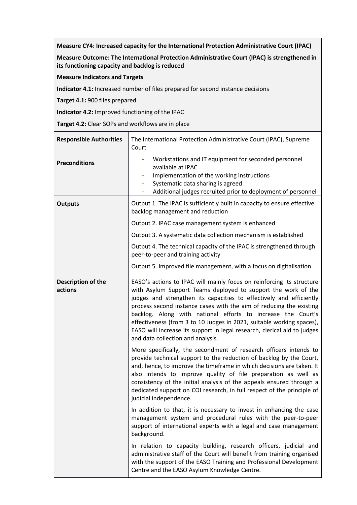**Measure CY4: Increased capacity for the International Protection Administrative Court (IPAC)** 

**Measure Outcome: The International Protection Administrative Court (IPAC) is strengthened in its functioning capacity and backlog is reduced**

**Measure Indicators and Targets**

**Indicator 4.1:** Increased number of files prepared for second instance decisions

**Target 4.1:** 900 files prepared

**Indicator 4.2:** Improved functioning of the IPAC

**Target 4.2:** Clear SOPs and workflows are in place

| <b>Responsible Authorities</b> | The International Protection Administrative Court (IPAC), Supreme<br>Court                                                                                                                                                                                                                                                                                                                                                                                                                                                                     |
|--------------------------------|------------------------------------------------------------------------------------------------------------------------------------------------------------------------------------------------------------------------------------------------------------------------------------------------------------------------------------------------------------------------------------------------------------------------------------------------------------------------------------------------------------------------------------------------|
| <b>Preconditions</b>           | Workstations and IT equipment for seconded personnel<br>available at IPAC<br>Implementation of the working instructions<br>$\overline{\phantom{a}}$<br>Systematic data sharing is agreed<br>$\overline{\phantom{0}}$<br>Additional judges recruited prior to deployment of personnel                                                                                                                                                                                                                                                           |
| <b>Outputs</b>                 | Output 1. The IPAC is sufficiently built in capacity to ensure effective<br>backlog management and reduction                                                                                                                                                                                                                                                                                                                                                                                                                                   |
|                                | Output 2. IPAC case management system is enhanced                                                                                                                                                                                                                                                                                                                                                                                                                                                                                              |
|                                | Output 3. A systematic data collection mechanism is established                                                                                                                                                                                                                                                                                                                                                                                                                                                                                |
|                                | Output 4. The technical capacity of the IPAC is strengthened through<br>peer-to-peer and training activity                                                                                                                                                                                                                                                                                                                                                                                                                                     |
|                                | Output 5. Improved file management, with a focus on digitalisation                                                                                                                                                                                                                                                                                                                                                                                                                                                                             |
| Description of the<br>actions  | EASO's actions to IPAC will mainly focus on reinforcing its structure<br>with Asylum Support Teams deployed to support the work of the<br>judges and strengthen its capacities to effectively and efficiently<br>process second instance cases with the aim of reducing the existing<br>backlog. Along with national efforts to increase the Court's<br>effectiveness (from 3 to 10 Judges in 2021, suitable working spaces),<br>EASO will increase its support in legal research, clerical aid to judges<br>and data collection and analysis. |
|                                | More specifically, the secondment of research officers intends to<br>provide technical support to the reduction of backlog by the Court,<br>and, hence, to improve the timeframe in which decisions are taken. It<br>also intends to improve quality of file preparation as well as<br>consistency of the initial analysis of the appeals ensured through a<br>dedicated support on COI research, in full respect of the principle of<br>judicial independence.                                                                                |
|                                | In addition to that, it is necessary to invest in enhancing the case<br>management system and procedural rules with the peer-to-peer<br>support of international experts with a legal and case management<br>background.                                                                                                                                                                                                                                                                                                                       |
|                                | In relation to capacity building, research officers, judicial and<br>administrative staff of the Court will benefit from training organised<br>with the support of the EASO Training and Professional Development<br>Centre and the EASO Asylum Knowledge Centre.                                                                                                                                                                                                                                                                              |